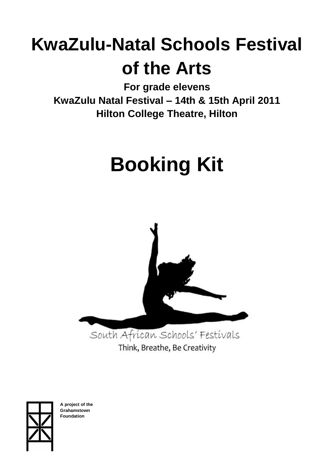# **KwaZulu-Natal Schools Festival of the Arts**

**For grade elevens KwaZulu Natal Festival – 14th & 15th April 2011 Hilton College Theatre, Hilton**

# **Booking Kit**



Think, Breathe, Be Creativity



**A project of the Grahamstown Foundation**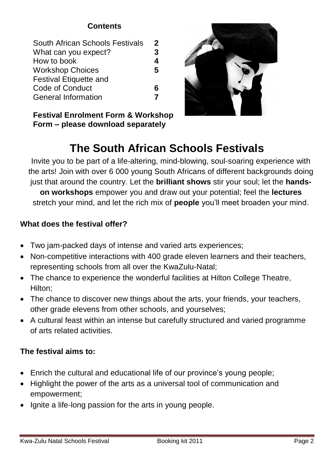# **Contents**

| South African Schools Festivals | 2 |
|---------------------------------|---|
| What can you expect?            | 3 |
| How to book                     | 4 |
| <b>Workshop Choices</b>         | 5 |
| <b>Festival Etiquette and</b>   |   |
| Code of Conduct                 | 6 |
| <b>General Information</b>      |   |
|                                 |   |

**Festival Enrolment Form & Workshop Form – please download separately**



# **The South African Schools Festivals**

Invite you to be part of a life-altering, mind-blowing, soul-soaring experience with the arts! Join with over 6 000 young South Africans of different backgrounds doing just that around the country. Let the **brilliant shows** stir your soul; let the **handson workshops** empower you and draw out your potential; feel the **lectures** stretch your mind, and let the rich mix of **people** you'll meet broaden your mind.

# **What does the festival offer?**

- Two jam-packed days of intense and varied arts experiences;
- Non-competitive interactions with 400 grade eleven learners and their teachers, representing schools from all over the KwaZulu-Natal;
- The chance to experience the wonderful facilities at Hilton College Theatre, Hilton;
- The chance to discover new things about the arts, your friends, your teachers, other grade elevens from other schools, and yourselves;
- A cultural feast within an intense but carefully structured and varied programme of arts related activities.

# **The festival aims to:**

- Enrich the cultural and educational life of our province's young people;
- Highlight the power of the arts as a universal tool of communication and empowerment;
- Ignite a life-long passion for the arts in young people.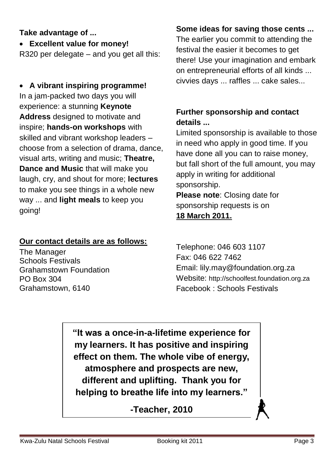# **Take advantage of ...**

**Excellent value for money!**

R320 per delegate – and you get all this:

 **A vibrant inspiring programme!** In a jam-packed two days you will experience: a stunning **Keynote Address** designed to motivate and inspire; **hands-on workshops** with skilled and vibrant workshop leaders – choose from a selection of drama, dance, visual arts, writing and music; **Theatre, Dance and Music** that will make you laugh, cry, and shout for more; **lectures** to make you see things in a whole new way ... and **light meals** to keep you going!

#### **Our contact details are as follows:**

The Manager Schools Festivals Grahamstown Foundation PO Box 304 Grahamstown, 6140

# **Some ideas for saving those cents ...**

The earlier you commit to attending the festival the easier it becomes to get there! Use your imagination and embark on entrepreneurial efforts of all kinds ... civvies days ... raffles ... cake sales...

# **Further sponsorship and contact details ...**

Limited sponsorship is available to those in need who apply in good time. If you have done all you can to raise money, but fall short of the full amount, you may apply in writing for additional sponsorship. **Please note**: Closing date for sponsorship requests is on

# **18 March 2011.**

Telephone: 046 603 1107 Fax: 046 622 7462 Email: lily.may@foundation.org.za Website: http://schoolfest.foundation.org.za Facebook : Schools Festivals

**"It was a once-in-a-lifetime experience for my learners. It has positive and inspiring effect on them. The whole vibe of energy, atmosphere and prospects are new, different and uplifting. Thank you for helping to breathe life into my learners."**

**-Teacher, 2010**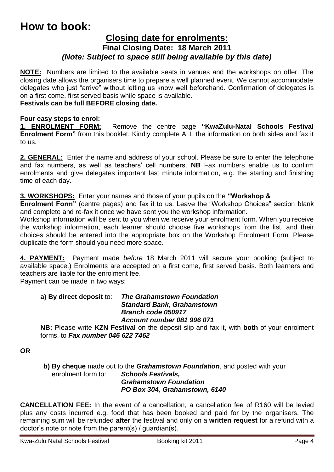# **How to book:**

## **Closing date for enrolments: Final Closing Date: 18 March 2011** *(Note: Subject to space still being available by this date)*

**NOTE:** Numbers are limited to the available seats in venues and the workshops on offer. The closing date allows the organisers time to prepare a well planned event. We cannot accommodate delegates who just "arrive" without letting us know well beforehand. Confirmation of delegates is on a first come, first served basis while space is available.

#### **Festivals can be full BEFORE closing date.**

#### **Four easy steps to enrol:**

**1. ENROLMENT FORM:** Remove the centre page **"KwaZulu-Natal Schools Festival Enrolment Form"** from this booklet. Kindly complete ALL the information on both sides and fax it to us.

**2. GENERAL:** Enter the name and address of your school. Please be sure to enter the telephone and fax numbers, as well as teachers' cell numbers. **NB** Fax numbers enable us to confirm enrolments and give delegates important last minute information, e.g. the starting and finishing time of each day.

#### **3. WORKSHOPS:** Enter your names and those of your pupils on the **"Workshop &**

**Enrolment Form"** (centre pages) and fax it to us. Leave the "Workshop Choices" section blank and complete and re-fax it once we have sent you the workshop information.

Workshop information will be sent to you when we receive your enrolment form. When you receive the workshop information, each learner should choose five workshops from the list, and their choices should be entered into the appropriate box on the Workshop Enrolment Form. Please duplicate the form should you need more space.

**4. PAYMENT:** Payment made *before* 18 March 2011 will secure your booking (subject to available space.) Enrolments are accepted on a first come, first served basis. Both learners and teachers are liable for the enrolment fee.

Payment can be made in two ways:

#### **a) By direct deposit** to: *The Grahamstown Foundation Standard Bank, Grahamstown Branch code 050917 Account number 081 996 071*

**NB:** Please write **KZN Festival** on the deposit slip and fax it, with **both** of your enrolment forms, to *Fax number 046 622 7462*

**OR**

**b) By cheque** made out to the *Grahamstown Foundation*, and posted with your enrolment form to: *Schools Festivals, Grahamstown Foundation PO Box 304, Grahamstown, 6140*

**CANCELLATION FEE:** In the event of a cancellation, a cancellation fee of R160 will be levied plus any costs incurred e.g. food that has been booked and paid for by the organisers. The remaining sum will be refunded **after** the festival and only on a **written request** for a refund with a doctor's note or note from the parent(s) / guardian(s).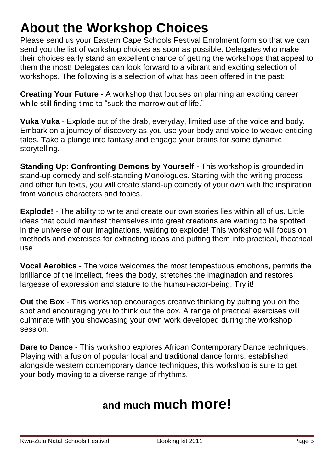# **About the Workshop Choices**

Please send us your Eastern Cape Schools Festival Enrolment form so that we can send you the list of workshop choices as soon as possible. Delegates who make their choices early stand an excellent chance of getting the workshops that appeal to them the most! Delegates can look forward to a vibrant and exciting selection of workshops. The following is a selection of what has been offered in the past:

**Creating Your Future** - A workshop that focuses on planning an exciting career while still finding time to "suck the marrow out of life."

**Vuka Vuka** - Explode out of the drab, everyday, limited use of the voice and body. Embark on a journey of discovery as you use your body and voice to weave enticing tales. Take a plunge into fantasy and engage your brains for some dynamic storytelling.

**Standing Up: Confronting Demons by Yourself** - This workshop is grounded in stand-up comedy and self-standing Monologues. Starting with the writing process and other fun texts, you will create stand-up comedy of your own with the inspiration from various characters and topics.

**Explode!** - The ability to write and create our own stories lies within all of us. Little ideas that could manifest themselves into great creations are waiting to be spotted in the universe of our imaginations, waiting to explode! This workshop will focus on methods and exercises for extracting ideas and putting them into practical, theatrical use.

**Vocal Aerobics** - The voice welcomes the most tempestuous emotions, permits the brilliance of the intellect, frees the body, stretches the imagination and restores largesse of expression and stature to the human-actor-being. Try it!

**Out the Box** - This workshop encourages creative thinking by putting you on the spot and encouraging you to think out the box. A range of practical exercises will culminate with you showcasing your own work developed during the workshop session.

**Dare to Dance** - This workshop explores African Contemporary Dance techniques. Playing with a fusion of popular local and traditional dance forms, established alongside western contemporary dance techniques, this workshop is sure to get your body moving to a diverse range of rhythms.

# **and much much more!**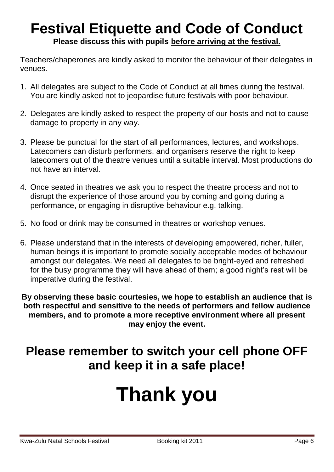# **Festival Etiquette and Code of Conduct Please discuss this with pupils before arriving at the festival.**

Teachers/chaperones are kindly asked to monitor the behaviour of their delegates in venues.

- 1. All delegates are subject to the Code of Conduct at all times during the festival. You are kindly asked not to jeopardise future festivals with poor behaviour.
- 2. Delegates are kindly asked to respect the property of our hosts and not to cause damage to property in any way.
- 3. Please be punctual for the start of all performances, lectures, and workshops. Latecomers can disturb performers, and organisers reserve the right to keep latecomers out of the theatre venues until a suitable interval. Most productions do not have an interval.
- 4. Once seated in theatres we ask you to respect the theatre process and not to disrupt the experience of those around you by coming and going during a performance, or engaging in disruptive behaviour e.g. talking.
- 5. No food or drink may be consumed in theatres or workshop venues.
- 6. Please understand that in the interests of developing empowered, richer, fuller, human beings it is important to promote socially acceptable modes of behaviour amongst our delegates. We need all delegates to be bright-eyed and refreshed for the busy programme they will have ahead of them; a good night's rest will be imperative during the festival.

**By observing these basic courtesies, we hope to establish an audience that is both respectful and sensitive to the needs of performers and fellow audience members, and to promote a more receptive environment where all present may enjoy the event.**

# **Please remember to switch your cell phone OFF and keep it in a safe place!**

# **Thank you**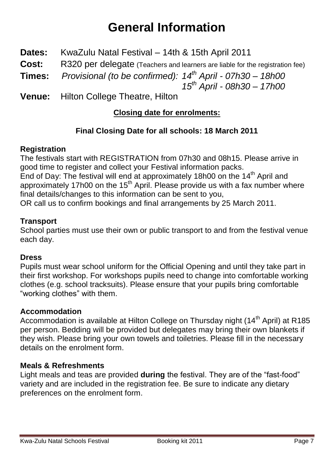# **General Information**

- **Dates:** KwaZulu Natal Festival 14th & 15th April 2011
- **Cost:** R320 per delegate (Teachers and learners are liable for the registration fee)
- **Times:** *Provisional (to be confirmed): 14th April - 07h30 – 18h00*

*15 th April - 08h30 – 17h00*

**Venue:** Hilton College Theatre, Hilton

# **Closing date for enrolments:**

# **Final Closing Date for all schools: 18 March 2011**

# **Registration**

The festivals start with REGISTRATION from 07h30 and 08h15. Please arrive in good time to register and collect your Festival information packs. End of Day: The festival will end at approximately 18h00 on the 14<sup>th</sup> April and

approximately 17h00 on the 15<sup>th</sup> April. Please provide us with a fax number where final details/changes to this information can be sent to you,

OR call us to confirm bookings and final arrangements by 25 March 2011.

## **Transport**

School parties must use their own or public transport to and from the festival venue each day.

#### **Dress**

Pupils must wear school uniform for the Official Opening and until they take part in their first workshop. For workshops pupils need to change into comfortable working clothes (e.g. school tracksuits). Please ensure that your pupils bring comfortable "working clothes" with them.

# **Accommodation**

Accommodation is available at Hilton College on Thursday night (14<sup>th</sup> April) at R185 per person. Bedding will be provided but delegates may bring their own blankets if they wish. Please bring your own towels and toiletries. Please fill in the necessary details on the enrolment form.

#### **Meals & Refreshments**

Light meals and teas are provided **during** the festival. They are of the "fast-food" variety and are included in the registration fee. Be sure to indicate any dietary preferences on the enrolment form.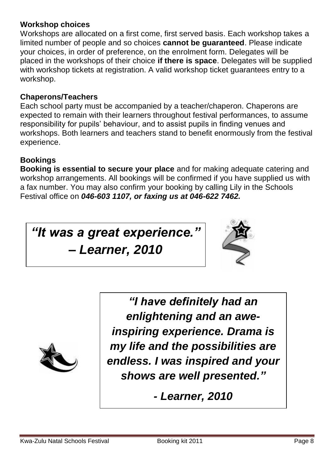### **Workshop choices**

Workshops are allocated on a first come, first served basis. Each workshop takes a limited number of people and so choices **cannot be guaranteed**. Please indicate your choices, in order of preference, on the enrolment form. Delegates will be placed in the workshops of their choice **if there is space**. Delegates will be supplied with workshop tickets at registration. A valid workshop ticket guarantees entry to a workshop.

## **Chaperons/Teachers**

Each school party must be accompanied by a teacher/chaperon. Chaperons are expected to remain with their learners throughout festival performances, to assume responsibility for pupils' behaviour, and to assist pupils in finding venues and workshops. Both learners and teachers stand to benefit enormously from the festival experience.

# **Bookings**

**Booking is essential to secure your place** and for making adequate catering and workshop arrangements. All bookings will be confirmed if you have supplied us with a fax number. You may also confirm your booking by calling Lily in the Schools Festival office on *046-603 1107, or faxing us at 046-622 7462.*

*"It was a great experience."* 

*– Learner, 2010*





*"I have definitely had an enlightening and an aweinspiring experience. Drama is my life and the possibilities are endless. I was inspired and your shows are well presented."*

*- Learner, 2010*